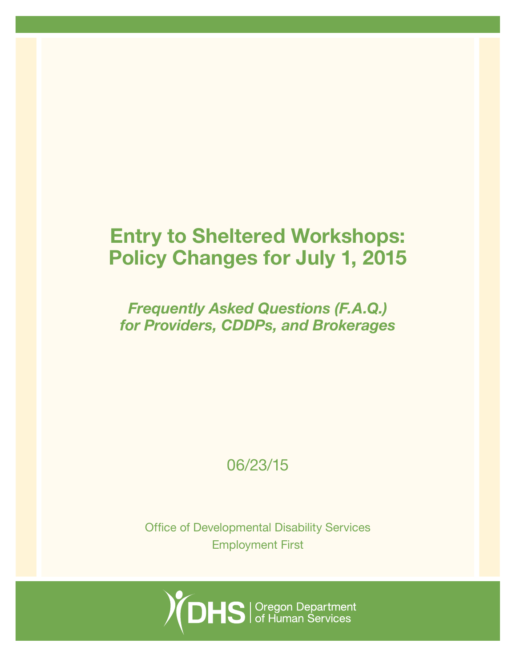# Entry to Sheltered Workshops: Policy Changes for July 1, 2015

*Frequently Asked Questions (F.A.Q.) for Providers, CDDPs, and Brokerages*

06/23/15

Office of Developmental Disability Services Employment First

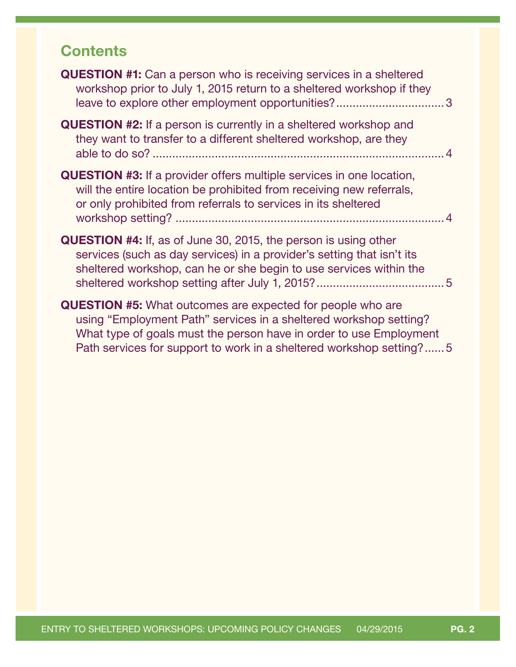## **Contents**

| <b>QUESTION #1:</b> Can a person who is receiving services in a sheltered<br>workshop prior to July 1, 2015 return to a sheltered workshop if they                                                                                                                                  |  |
|-------------------------------------------------------------------------------------------------------------------------------------------------------------------------------------------------------------------------------------------------------------------------------------|--|
| <b>QUESTION #2:</b> If a person is currently in a sheltered workshop and<br>they want to transfer to a different sheltered workshop, are they                                                                                                                                       |  |
| <b>QUESTION #3:</b> If a provider offers multiple services in one location,<br>will the entire location be prohibited from receiving new referrals,<br>or only prohibited from referrals to services in its sheltered                                                               |  |
| <b>QUESTION #4:</b> If, as of June 30, 2015, the person is using other<br>services (such as day services) in a provider's setting that isn't its<br>sheltered workshop, can he or she begin to use services within the                                                              |  |
| <b>QUESTION #5:</b> What outcomes are expected for people who are<br>using "Employment Path" services in a sheltered workshop setting?<br>What type of goals must the person have in order to use Employment<br>Path services for support to work in a sheltered workshop setting?5 |  |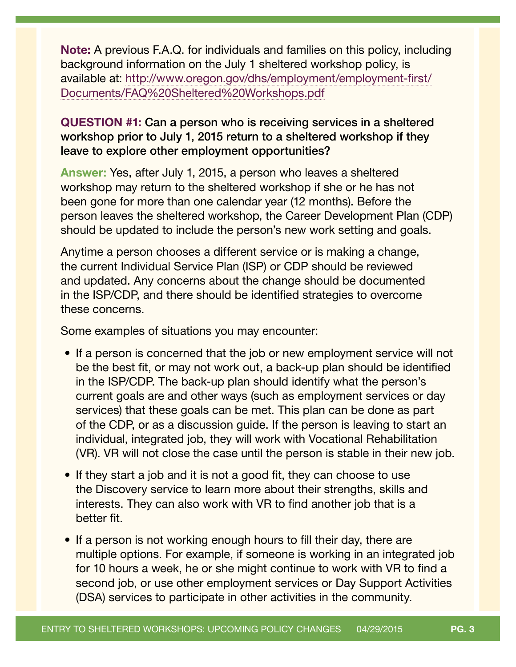<span id="page-2-0"></span>Note: A previous F.A.Q. for individuals and families on this policy, including background information on the July 1 sheltered workshop policy, is available at: [http://www.oregon.gov/dhs/employment/employment-first/](http://www.oregon.gov/dhs/employment/employment-first/Documents/FAQ%20Sheltered%20Workshops.pdf) [Documents/FAQ%20Sheltered%20Workshops.pdf](http://www.oregon.gov/dhs/employment/employment-first/Documents/FAQ%20Sheltered%20Workshops.pdf)

### QUESTION #1: Can a person who is receiving services in a sheltered workshop prior to July 1, 2015 return to a sheltered workshop if they leave to explore other employment opportunities?

Answer: Yes, after July 1, 2015, a person who leaves a sheltered workshop may return to the sheltered workshop if she or he has not been gone for more than one calendar year (12 months). Before the person leaves the sheltered workshop, the Career Development Plan (CDP) should be updated to include the person's new work setting and goals.

Anytime a person chooses a different service or is making a change, the current Individual Service Plan (ISP) or CDP should be reviewed and updated. Any concerns about the change should be documented in the ISP/CDP, and there should be identified strategies to overcome these concerns.

Some examples of situations you may encounter:

- If a person is concerned that the job or new employment service will not be the best fit, or may not work out, a back-up plan should be identified in the ISP/CDP. The back-up plan should identify what the person's current goals are and other ways (such as employment services or day services) that these goals can be met. This plan can be done as part of the CDP, or as a discussion guide. If the person is leaving to start an individual, integrated job, they will work with Vocational Rehabilitation (VR). VR will not close the case until the person is stable in their new job.
- If they start a job and it is not a good fit, they can choose to use the Discovery service to learn more about their strengths, skills and interests. They can also work with VR to find another job that is a better fit.
- If a person is not working enough hours to fill their day, there are multiple options. For example, if someone is working in an integrated job for 10 hours a week, he or she might continue to work with VR to find a second job, or use other employment services or Day Support Activities (DSA) services to participate in other activities in the community.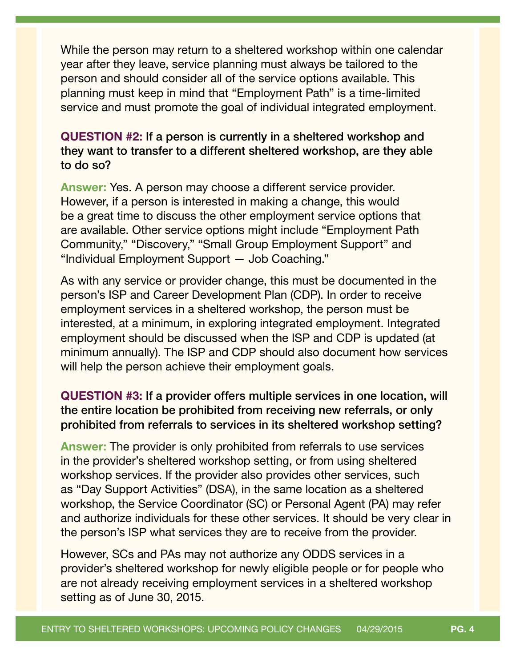<span id="page-3-0"></span>While the person may return to a sheltered workshop within one calendar year after they leave, service planning must always be tailored to the person and should consider all of the service options available. This planning must keep in mind that "Employment Path" is a time-limited service and must promote the goal of individual integrated employment.

### QUESTION #2: If a person is currently in a sheltered workshop and they want to transfer to a different sheltered workshop, are they able to do so?

Answer: Yes. A person may choose a different service provider. However, if a person is interested in making a change, this would be a great time to discuss the other employment service options that are available. Other service options might include "Employment Path Community," "Discovery," "Small Group Employment Support" and "Individual Employment Support — Job Coaching."

As with any service or provider change, this must be documented in the person's ISP and Career Development Plan (CDP). In order to receive employment services in a sheltered workshop, the person must be interested, at a minimum, in exploring integrated employment. Integrated employment should be discussed when the ISP and CDP is updated (at minimum annually). The ISP and CDP should also document how services will help the person achieve their employment goals.

### QUESTION #3: If a provider offers multiple services in one location, will the entire location be prohibited from receiving new referrals, or only prohibited from referrals to services in its sheltered workshop setting?

Answer: The provider is only prohibited from referrals to use services in the provider's sheltered workshop setting, or from using sheltered workshop services. If the provider also provides other services, such as "Day Support Activities" (DSA), in the same location as a sheltered workshop, the Service Coordinator (SC) or Personal Agent (PA) may refer and authorize individuals for these other services. It should be very clear in the person's ISP what services they are to receive from the provider.

However, SCs and PAs may not authorize any ODDS services in a provider's sheltered workshop for newly eligible people or for people who are not already receiving employment services in a sheltered workshop setting as of June 30, 2015.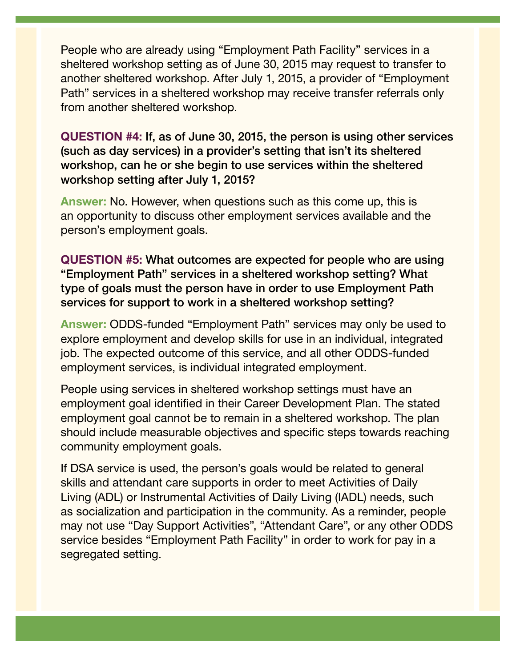<span id="page-4-0"></span>People who are already using "Employment Path Facility" services in a sheltered workshop setting as of June 30, 2015 may request to transfer to another sheltered workshop. After July 1, 2015, a provider of "Employment Path" services in a sheltered workshop may receive transfer referrals only from another sheltered workshop.

QUESTION #4: If, as of June 30, 2015, the person is using other services (such as day services) in a provider's setting that isn't its sheltered workshop, can he or she begin to use services within the sheltered workshop setting after July 1, 2015?

Answer: No. However, when questions such as this come up, this is an opportunity to discuss other employment services available and the person's employment goals.

QUESTION #5: What outcomes are expected for people who are using "Employment Path" services in a sheltered workshop setting? What type of goals must the person have in order to use Employment Path services for support to work in a sheltered workshop setting?

Answer: ODDS-funded "Employment Path" services may only be used to explore employment and develop skills for use in an individual, integrated job. The expected outcome of this service, and all other ODDS-funded employment services, is individual integrated employment.

People using services in sheltered workshop settings must have an employment goal identified in their Career Development Plan. The stated employment goal cannot be to remain in a sheltered workshop. The plan should include measurable objectives and specific steps towards reaching community employment goals.

If DSA service is used, the person's goals would be related to general skills and attendant care supports in order to meet Activities of Daily Living (ADL) or Instrumental Activities of Daily Living (IADL) needs, such as socialization and participation in the community. As a reminder, people may not use "Day Support Activities", "Attendant Care", or any other ODDS service besides "Employment Path Facility" in order to work for pay in a segregated setting.